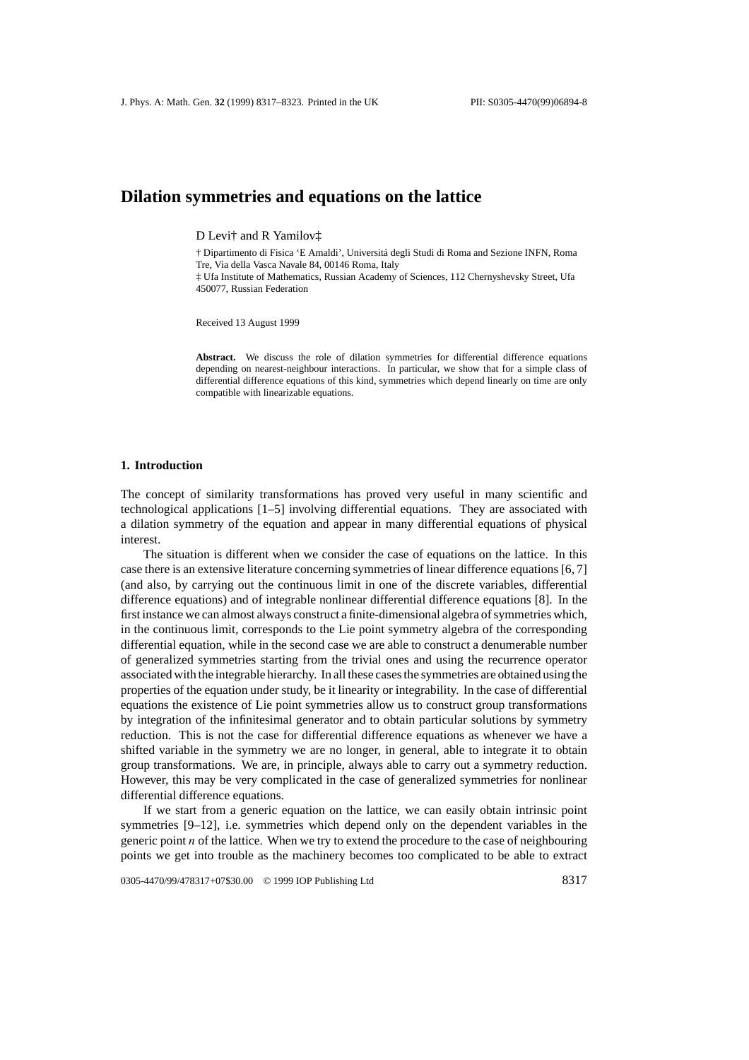# **Dilation symmetries and equations on the lattice**

D Levi† and R Yamilov‡

† Dipartimento di Fisica 'E Amaldi', Universita degli Studi di Roma and Sezione INFN, Roma ´ Tre, Via della Vasca Navale 84, 00146 Roma, Italy ‡ Ufa Institute of Mathematics, Russian Academy of Sciences, 112 Chernyshevsky Street, Ufa 450077, Russian Federation

Received 13 August 1999

Abstract. We discuss the role of dilation symmetries for differential difference equations depending on nearest-neighbour interactions. In particular, we show that for a simple class of differential difference equations of this kind, symmetries which depend linearly on time are only compatible with linearizable equations.

### **1. Introduction**

The concept of similarity transformations has proved very useful in many scientific and technological applications [1–5] involving differential equations. They are associated with a dilation symmetry of the equation and appear in many differential equations of physical interest.

The situation is different when we consider the case of equations on the lattice. In this case there is an extensive literature concerning symmetries of linear difference equations [6, 7] (and also, by carrying out the continuous limit in one of the discrete variables, differential difference equations) and of integrable nonlinear differential difference equations [8]. In the first instance we can almost always construct a finite-dimensional algebra of symmetries which, in the continuous limit, corresponds to the Lie point symmetry algebra of the corresponding differential equation, while in the second case we are able to construct a denumerable number of generalized symmetries starting from the trivial ones and using the recurrence operator associated with the integrable hierarchy. In all these cases the symmetries are obtained using the properties of the equation under study, be it linearity or integrability. In the case of differential equations the existence of Lie point symmetries allow us to construct group transformations by integration of the infinitesimal generator and to obtain particular solutions by symmetry reduction. This is not the case for differential difference equations as whenever we have a shifted variable in the symmetry we are no longer, in general, able to integrate it to obtain group transformations. We are, in principle, always able to carry out a symmetry reduction. However, this may be very complicated in the case of generalized symmetries for nonlinear differential difference equations.

If we start from a generic equation on the lattice, we can easily obtain intrinsic point symmetries [9–12], i.e. symmetries which depend only on the dependent variables in the generic point *n* of the lattice. When we try to extend the procedure to the case of neighbouring points we get into trouble as the machinery becomes too complicated to be able to extract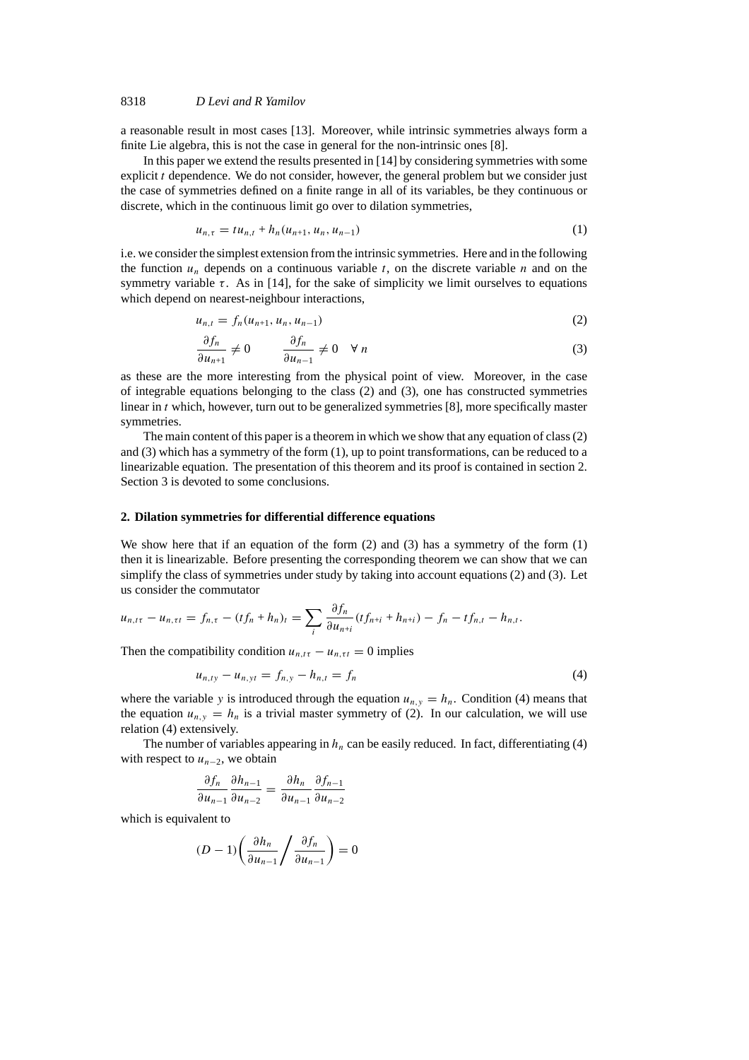## 8318 *D Levi and R Yamilov*

a reasonable result in most cases [13]. Moreover, while intrinsic symmetries always form a finite Lie algebra, this is not the case in general for the non-intrinsic ones [8].

In this paper we extend the results presented in [14] by considering symmetries with some explicit *t* dependence. We do not consider, however, the general problem but we consider just the case of symmetries defined on a finite range in all of its variables, be they continuous or discrete, which in the continuous limit go over to dilation symmetries,

$$
u_{n,\tau} = t u_{n,t} + h_n(u_{n+1}, u_n, u_{n-1})
$$
\n(1)

i.e. we consider the simplest extension from the intrinsic symmetries. Here and in the following the function  $u_n$  depends on a continuous variable  $t$ , on the discrete variable  $n$  and on the symmetry variable *τ*. As in [14], for the sake of simplicity we limit ourselves to equations which depend on nearest-neighbour interactions.

$$
u_{n,t} = f_n(u_{n+1}, u_n, u_{n-1})
$$
\n(2)

$$
\frac{\partial f_n}{\partial u_{n+1}} \neq 0 \qquad \frac{\partial f_n}{\partial u_{n-1}} \neq 0 \quad \forall n
$$
 (3)

as these are the more interesting from the physical point of view. Moreover, in the case of integrable equations belonging to the class (2) and (3), one has constructed symmetries linear in *t* which, however, turn out to be generalized symmetries [8], more specifically master symmetries.

The main content of this paper is a theorem in which we show that any equation of class (2) and (3) which has a symmetry of the form (1), up to point transformations, can be reduced to a linearizable equation. The presentation of this theorem and its proof is contained in section 2. Section 3 is devoted to some conclusions.

### **2. Dilation symmetries for differential difference equations**

We show here that if an equation of the form  $(2)$  and  $(3)$  has a symmetry of the form  $(1)$ then it is linearizable. Before presenting the corresponding theorem we can show that we can simplify the class of symmetries under study by taking into account equations (2) and (3). Let us consider the commutator

$$
u_{n,t\tau} - u_{n,\tau t} = f_{n,\tau} - (tf_n + h_n)_t = \sum_i \frac{\partial f_n}{\partial u_{n+i}} (tf_{n+i} + h_{n+i}) - f_n - tf_{n,t} - h_{n,t}.
$$

Then the compatibility condition  $u_{n, t\tau} - u_{n, \tau t} = 0$  implies

$$
u_{n,ty} - u_{n,yt} = f_{n,y} - h_{n,t} = f_n
$$
 (4)

where the variable *y* is introduced through the equation  $u_{n,y} = h_n$ . Condition (4) means that the equation  $u_{n,y} = h_n$  is a trivial master symmetry of (2). In our calculation, we will use relation (4) extensively.

The number of variables appearing in  $h_n$  can be easily reduced. In fact, differentiating (4) with respect to  $u_{n-2}$ , we obtain

$$
\frac{\partial f_n}{\partial u_{n-1}} \frac{\partial h_{n-1}}{\partial u_{n-2}} = \frac{\partial h_n}{\partial u_{n-1}} \frac{\partial f_{n-1}}{\partial u_{n-2}}
$$

which is equivalent to

$$
(D-1)\left(\frac{\partial h_n}{\partial u_{n-1}}\right)\frac{\partial f_n}{\partial u_{n-1}}\right) = 0
$$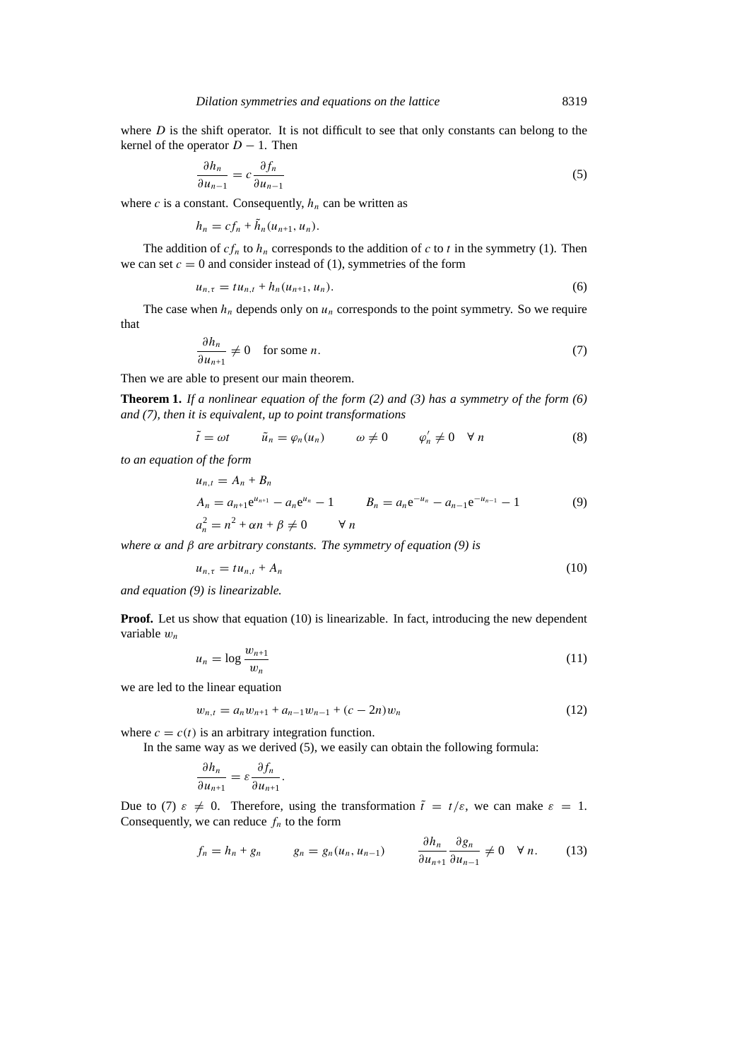where *D* is the shift operator. It is not difficult to see that only constants can belong to the kernel of the operator  $D - 1$ . Then

$$
\frac{\partial h_n}{\partial u_{n-1}} = c \frac{\partial f_n}{\partial u_{n-1}} \tag{5}
$$

where  $c$  is a constant. Consequently,  $h_n$  can be written as

$$
h_n = cf_n + h_n(u_{n+1}, u_n).
$$

The addition of  $cf_n$  to  $h_n$  corresponds to the addition of  $c$  to  $t$  in the symmetry (1). Then we can set  $c = 0$  and consider instead of (1), symmetries of the form

$$
u_{n,\tau} = t u_{n,t} + h_n(u_{n+1}, u_n). \tag{6}
$$

The case when  $h_n$  depends only on  $u_n$  corresponds to the point symmetry. So we require that

$$
\frac{\partial h_n}{\partial u_{n+1}} \neq 0 \quad \text{for some } n. \tag{7}
$$

Then we are able to present our main theorem.

**Theorem 1.** *If a nonlinear equation of the form (2) and (3) has a symmetry of the form (6) and (7), then it is equivalent, up to point transformations*

$$
\tilde{t} = \omega t \qquad \tilde{u}_n = \varphi_n(u_n) \qquad \omega \neq 0 \qquad \varphi'_n \neq 0 \quad \forall n
$$
\n(8)

*to an equation of the form*

$$
u_{n,t} = A_n + B_n
$$
  
\n
$$
A_n = a_{n+1}e^{u_{n+1}} - a_n e^{u_n} - 1
$$
  
\n
$$
a_n^2 = n^2 + \alpha n + \beta \neq 0
$$
  
\n
$$
u_n = a_n e^{-u_n} - a_{n-1} e^{-u_{n-1}} - 1
$$
  
\n(9)

*where α and β are arbitrary constants. The symmetry of equation (9) is*

$$
u_{n,\tau} = t u_{n,t} + A_n \tag{10}
$$

*and equation (9) is linearizable.*

**Proof.** Let us show that equation (10) is linearizable. In fact, introducing the new dependent variable *wn*

$$
u_n = \log \frac{w_{n+1}}{w_n} \tag{11}
$$

we are led to the linear equation

$$
w_{n,t} = a_n w_{n+1} + a_{n-1} w_{n-1} + (c - 2n) w_n \tag{12}
$$

where  $c = c(t)$  is an arbitrary integration function.

In the same way as we derived  $(5)$ , we easily can obtain the following formula:

$$
\frac{\partial h_n}{\partial u_{n+1}} = \varepsilon \frac{\partial f_n}{\partial u_{n+1}}.
$$

Due to (7)  $\varepsilon \neq 0$ . Therefore, using the transformation  $\tilde{t} = t/\varepsilon$ , we can make  $\varepsilon = 1$ . Consequently, we can reduce  $f_n$  to the form

$$
f_n = h_n + g_n \qquad g_n = g_n(u_n, u_{n-1}) \qquad \frac{\partial h_n}{\partial u_{n+1}} \frac{\partial g_n}{\partial u_{n-1}} \neq 0 \quad \forall n. \qquad (13)
$$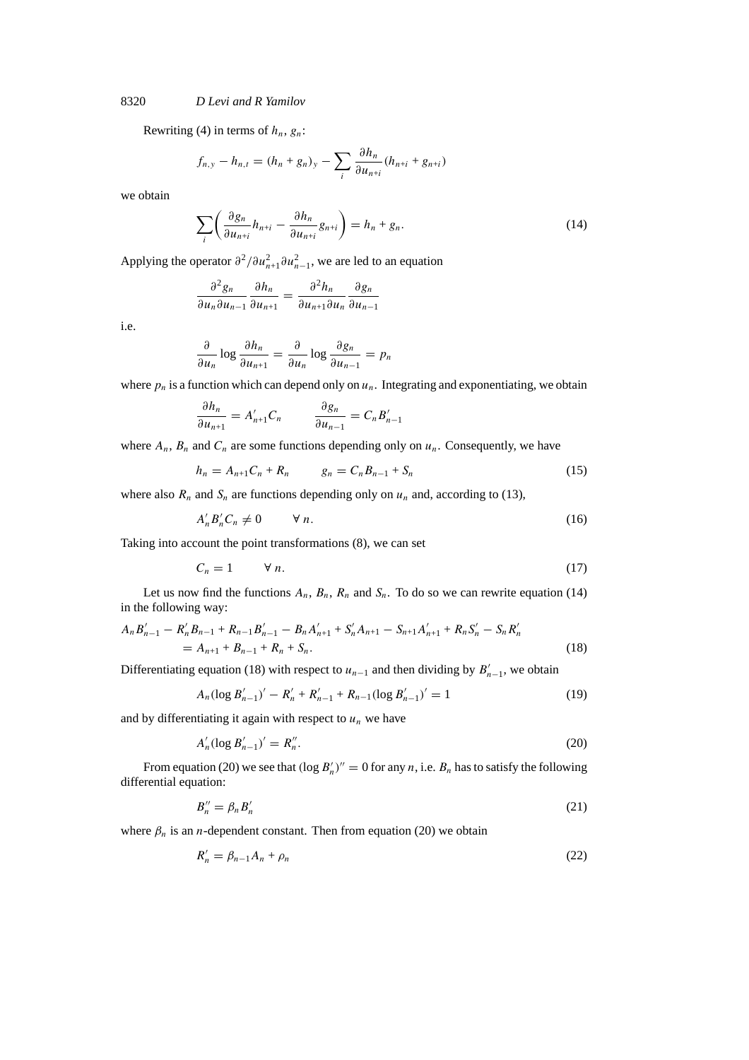### 8320 *D Levi and R Yamilov*

Rewriting (4) in terms of  $h_n$ ,  $g_n$ :

$$
f_{n,y} - h_{n,t} = (h_n + g_n)_y - \sum_i \frac{\partial h_n}{\partial u_{n+i}} (h_{n+i} + g_{n+i})
$$

we obtain

$$
\sum_{i} \left( \frac{\partial g_n}{\partial u_{n+i}} h_{n+i} - \frac{\partial h_n}{\partial u_{n+i}} g_{n+i} \right) = h_n + g_n. \tag{14}
$$

Applying the operator  $\partial^2 / \partial u_{n+1}^2 \partial u_{n-1}^2$ , we are led to an equation

$$
\frac{\partial^2 g_n}{\partial u_n \partial u_{n-1}} \frac{\partial h_n}{\partial u_{n+1}} = \frac{\partial^2 h_n}{\partial u_{n+1} \partial u_n} \frac{\partial g_n}{\partial u_{n-1}}
$$

i.e.

$$
\frac{\partial}{\partial u_n} \log \frac{\partial h_n}{\partial u_{n+1}} = \frac{\partial}{\partial u_n} \log \frac{\partial g_n}{\partial u_{n-1}} = p_n
$$

where  $p_n$  is a function which can depend only on  $u_n$ . Integrating and exponentiating, we obtain

$$
\frac{\partial h_n}{\partial u_{n+1}} = A'_{n+1} C_n \qquad \frac{\partial g_n}{\partial u_{n-1}} = C_n B'_{n-1}
$$

where  $A_n$ ,  $B_n$  and  $C_n$  are some functions depending only on  $u_n$ . Consequently, we have

$$
h_n = A_{n+1}C_n + R_n \t\t g_n = C_n B_{n-1} + S_n \t\t (15)
$$

where also  $R_n$  and  $S_n$  are functions depending only on  $u_n$  and, according to (13),

$$
A'_n B'_n C_n \neq 0 \qquad \forall n. \tag{16}
$$

Taking into account the point transformations (8), we can set

$$
C_n = 1 \qquad \forall n. \tag{17}
$$

Let us now find the functions  $A_n$ ,  $B_n$ ,  $R_n$  and  $S_n$ . To do so we can rewrite equation (14) in the following way:

$$
A_n B'_{n-1} - R'_n B_{n-1} + R_{n-1} B'_{n-1} - B_n A'_{n+1} + S'_n A_{n+1} - S_{n+1} A'_{n+1} + R_n S'_n - S_n R'_n
$$
  
=  $A_{n+1} + B_{n-1} + R_n + S_n$ . (18)

Differentiating equation (18) with respect to  $u_{n-1}$  and then dividing by  $B'_{n-1}$ , we obtain

$$
A_n(\log B'_{n-1})' - R'_n + R'_{n-1} + R_{n-1}(\log B'_{n-1})' = 1
$$
\n(19)

and by differentiating it again with respect to  $u_n$  we have

$$
A'_n(\log B'_{n-1})' = R''_n. \tag{20}
$$

From equation (20) we see that  $(\log B_n')'' = 0$  for any *n*, i.e.  $B_n$  has to satisfy the following differential equation:

$$
B_n'' = \beta_n B_n' \tag{21}
$$

where  $\beta_n$  is an *n*-dependent constant. Then from equation (20) we obtain

$$
R'_n = \beta_{n-1}A_n + \rho_n \tag{22}
$$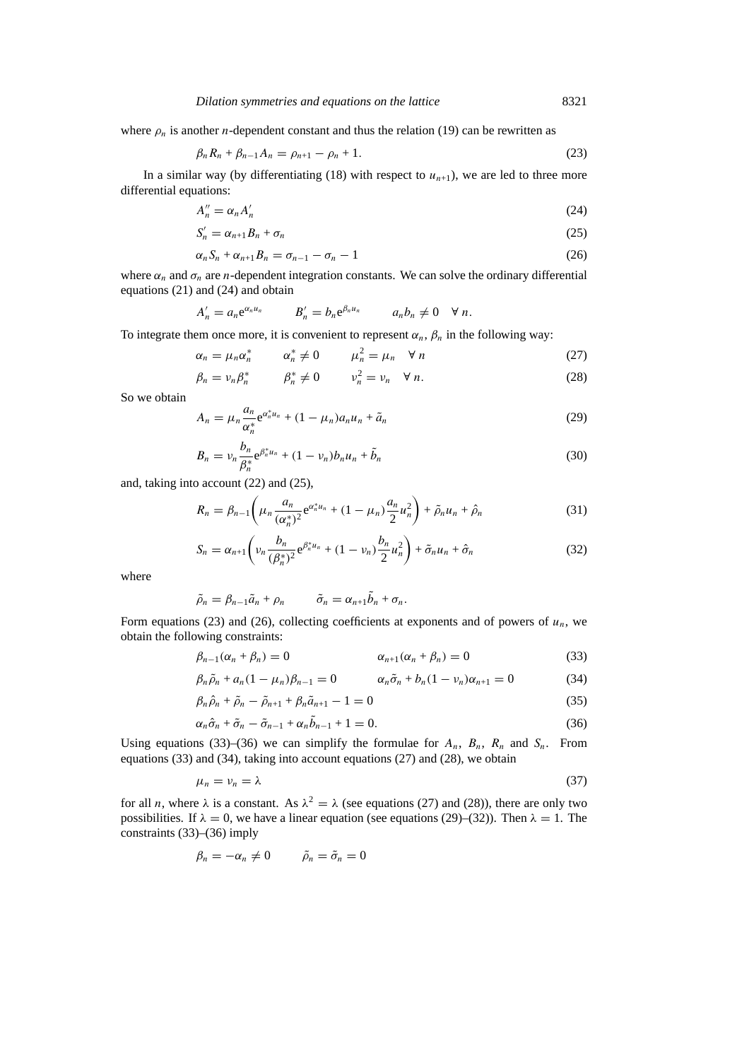where  $\rho_n$  is another *n*-dependent constant and thus the relation (19) can be rewritten as

$$
\beta_n R_n + \beta_{n-1} A_n = \rho_{n+1} - \rho_n + 1. \tag{23}
$$

In a similar way (by differentiating  $(18)$  with respect to  $u_{n+1}$ ), we are led to three more differential equations:

$$
A_n'' = \alpha_n A_n' \tag{24}
$$

$$
S'_n = \alpha_{n+1} B_n + \sigma_n \tag{25}
$$

$$
\alpha_n S_n + \alpha_{n+1} B_n = \sigma_{n-1} - \sigma_n - 1 \tag{26}
$$

where  $\alpha_n$  and  $\sigma_n$  are *n*-dependent integration constants. We can solve the ordinary differential equations (21) and (24) and obtain

$$
A'_n = a_n e^{\alpha_n u_n} \qquad B'_n = b_n e^{\beta_n u_n} \qquad a_n b_n \neq 0 \quad \forall n.
$$

To integrate them once more, it is convenient to represent  $\alpha_n$ ,  $\beta_n$  in the following way:

$$
\alpha_n = \mu_n \alpha_n^* \qquad \alpha_n^* \neq 0 \qquad \mu_n^2 = \mu_n \quad \forall \ n \tag{27}
$$

$$
\beta_n = \nu_n \beta_n^* \qquad \beta_n^* \neq 0 \qquad \nu_n^2 = \nu_n \quad \forall \ n. \tag{28}
$$

So we obtain

$$
A_n = \mu_n \frac{a_n}{\alpha_n^*} e^{\alpha_n^* u_n} + (1 - \mu_n) a_n u_n + \tilde{a}_n
$$
\n(29)

$$
B_n = \nu_n \frac{b_n}{\beta_n^*} e^{\beta_n^* u_n} + (1 - \nu_n) b_n u_n + \tilde{b}_n
$$
\n(30)

and, taking into account (22) and (25),

$$
R_n = \beta_{n-1} \left( \mu_n \frac{a_n}{(\alpha_n^*)^2} e^{\alpha_n^* u_n} + (1 - \mu_n) \frac{a_n}{2} u_n^2 \right) + \tilde{\rho}_n u_n + \hat{\rho}_n \tag{31}
$$

$$
S_n = \alpha_{n+1} \left( \nu_n \frac{b_n}{(\beta_n^*)^2} e^{\beta_n^* u_n} + (1 - \nu_n) \frac{b_n}{2} u_n^2 \right) + \tilde{\sigma}_n u_n + \hat{\sigma}_n \tag{32}
$$

where

$$
\tilde{\rho}_n = \beta_{n-1}\tilde{a}_n + \rho_n \qquad \tilde{\sigma}_n = \alpha_{n+1}\tilde{b}_n + \sigma_n.
$$

Form equations (23) and (26), collecting coefficients at exponents and of powers of  $u_n$ , we obtain the following constraints:

$$
\beta_{n-1}(\alpha_n + \beta_n) = 0 \qquad \alpha_{n+1}(\alpha_n + \beta_n) = 0 \qquad (33)
$$

$$
\beta_n \tilde{\rho}_n + a_n (1 - \mu_n) \beta_{n-1} = 0 \qquad \alpha_n \tilde{\sigma}_n + b_n (1 - \nu_n) \alpha_{n+1} = 0 \qquad (34)
$$

$$
\beta_n \hat{\rho}_n + \tilde{\rho}_n - \tilde{\rho}_{n+1} + \beta_n \tilde{a}_{n+1} - 1 = 0 \tag{35}
$$

$$
\alpha_n \hat{\sigma}_n + \tilde{\sigma}_n - \tilde{\sigma}_{n-1} + \alpha_n \tilde{b}_{n-1} + 1 = 0. \tag{36}
$$

Using equations (33)–(36) we can simplify the formulae for  $A_n$ ,  $B_n$ ,  $R_n$  and  $S_n$ . From equations (33) and (34), taking into account equations (27) and (28), we obtain

$$
\mu_n = \nu_n = \lambda \tag{37}
$$

for all *n*, where  $\lambda$  is a constant. As  $\lambda^2 = \lambda$  (see equations (27) and (28)), there are only two possibilities. If  $\lambda = 0$ , we have a linear equation (see equations (29)–(32)). Then  $\lambda = 1$ . The constraints (33)–(36) imply

$$
\beta_n = -\alpha_n \neq 0 \qquad \tilde{\rho}_n = \tilde{\sigma}_n = 0
$$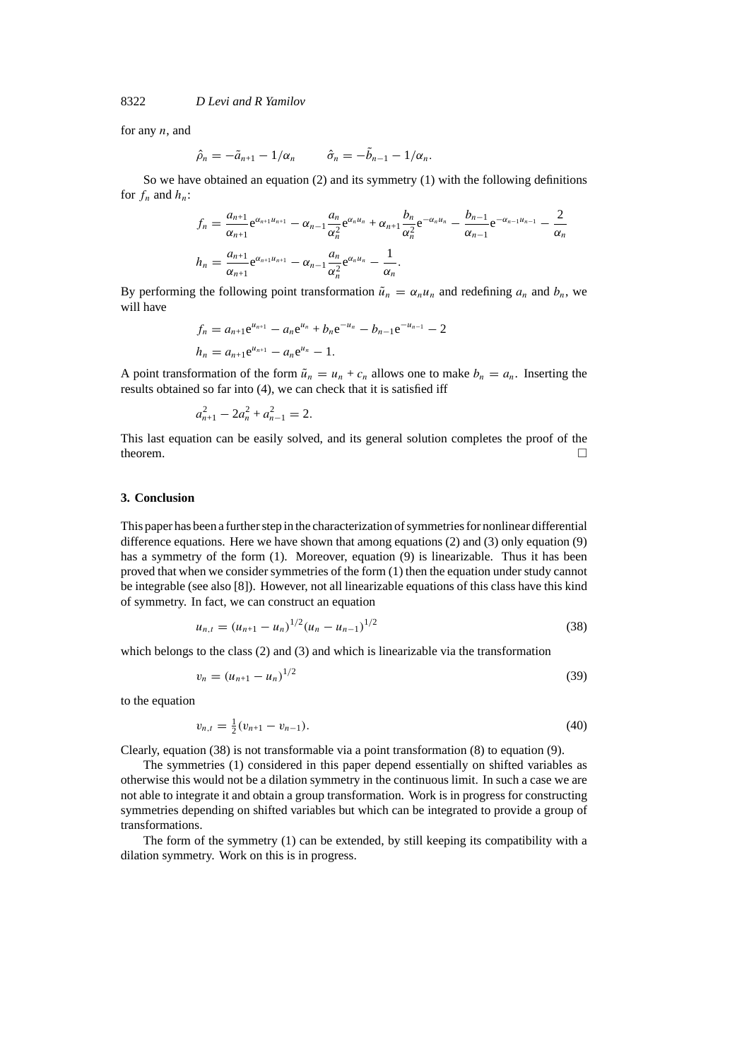8322 *D Levi and R Yamilov*

for any *n*, and

$$
\hat{\rho}_n=-\tilde{a}_{n+1}-1/\alpha_n \qquad \hat{\sigma}_n=-\tilde{b}_{n-1}-1/\alpha_n.
$$

So we have obtained an equation  $(2)$  and its symmetry  $(1)$  with the following definitions for  $f_n$  and  $h_n$ :

$$
f_n = \frac{a_{n+1}}{\alpha_{n+1}} e^{\alpha_{n+1}u_{n+1}} - \alpha_{n-1} \frac{a_n}{\alpha_n^2} e^{\alpha_n u_n} + \alpha_{n+1} \frac{b_n}{\alpha_n^2} e^{-\alpha_n u_n} - \frac{b_{n-1}}{\alpha_{n-1}} e^{-\alpha_{n-1}u_{n-1}} - \frac{2}{\alpha_n}
$$
  

$$
h_n = \frac{a_{n+1}}{\alpha_{n+1}} e^{\alpha_{n+1}u_{n+1}} - \alpha_{n-1} \frac{a_n}{\alpha_n^2} e^{\alpha_n u_n} - \frac{1}{\alpha_n}.
$$

By performing the following point transformation  $\tilde{u}_n = \alpha_n u_n$  and redefining  $a_n$  and  $b_n$ , we will have

$$
f_n = a_{n+1}e^{u_{n+1}} - a_n e^{u_n} + b_n e^{-u_n} - b_{n-1} e^{-u_{n-1}} - 2
$$
  

$$
h_n = a_{n+1}e^{u_{n+1}} - a_n e^{u_n} - 1.
$$

A point transformation of the form  $\tilde{u}_n = u_n + c_n$  allows one to make  $b_n = a_n$ . Inserting the results obtained so far into (4), we can check that it is satisfied iff

$$
a_{n+1}^2 - 2a_n^2 + a_{n-1}^2 = 2.
$$

This last equation can be easily solved, and its general solution completes the proof of the theorem.  $\Box$ 

### **3. Conclusion**

This paper has been a further step in the characterization of symmetries for nonlinear differential difference equations. Here we have shown that among equations (2) and (3) only equation (9) has a symmetry of the form (1). Moreover, equation (9) is linearizable. Thus it has been proved that when we consider symmetries of the form (1) then the equation under study cannot be integrable (see also [8]). However, not all linearizable equations of this class have this kind of symmetry. In fact, we can construct an equation

$$
u_{n,t} = (u_{n+1} - u_n)^{1/2} (u_n - u_{n-1})^{1/2}
$$
\n(38)

which belongs to the class (2) and (3) and which is linearizable via the transformation

$$
v_n = (u_{n+1} - u_n)^{1/2} \tag{39}
$$

to the equation

$$
v_{n,t} = \frac{1}{2}(v_{n+1} - v_{n-1}).
$$
\n(40)

Clearly, equation (38) is not transformable via a point transformation (8) to equation (9).

The symmetries (1) considered in this paper depend essentially on shifted variables as otherwise this would not be a dilation symmetry in the continuous limit. In such a case we are not able to integrate it and obtain a group transformation. Work is in progress for constructing symmetries depending on shifted variables but which can be integrated to provide a group of transformations.

The form of the symmetry (1) can be extended, by still keeping its compatibility with a dilation symmetry. Work on this is in progress.